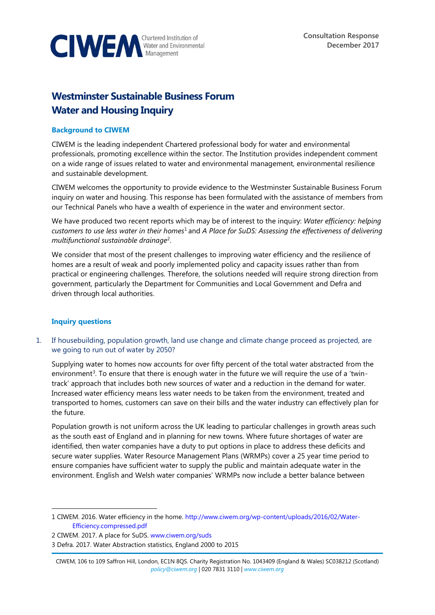

# **Westminster Sustainable Business Forum Water and Housing Inquiry**

#### **Background to CIWEM**

CIWEM is the leading independent Chartered professional body for water and environmental professionals, promoting excellence within the sector. The Institution provides independent comment on a wide range of issues related to water and environmental management, environmental resilience and sustainable development.

CIWEM welcomes the opportunity to provide evidence to the Westminster Sustainable Business Forum inquiry on water and housing. This response has been formulated with the assistance of members from our Technical Panels who have a wealth of experience in the water and environment sector.

We have produced two recent reports which may be of interest to the inquiry: *Water efficiency: helping customers to use less water in their homes*<sup>1</sup> and *A Place for SuDS: Assessing the effectiveness of delivering multifunctional sustainable drainage*<sup>2</sup> .

We consider that most of the present challenges to improving water efficiency and the resilience of homes are a result of weak and poorly implemented policy and capacity issues rather than from practical or engineering challenges. Therefore, the solutions needed will require strong direction from government, particularly the Department for Communities and Local Government and Defra and driven through local authorities.

# **Inquiry questions**

 $\overline{a}$ 

1. If housebuilding, population growth, land use change and climate change proceed as projected, are we going to run out of water by 2050?

Supplying water to homes now accounts for over fifty percent of the total water abstracted from the environment<sup>3</sup>. To ensure that there is enough water in the future we will require the use of a 'twintrack' approach that includes both new sources of water and a reduction in the demand for water. Increased water efficiency means less water needs to be taken from the environment, treated and transported to homes, customers can save on their bills and the water industry can effectively plan for the future.

Population growth is not uniform across the UK leading to particular challenges in growth areas such as the south east of England and in planning for new towns. Where future shortages of water are identified, then water companies have a duty to put options in place to address these deficits and secure water supplies. Water Resource Management Plans (WRMPs) cover a 25 year time period to ensure companies have sufficient water to supply the public and maintain adequate water in the environment. English and Welsh water companies' WRMPs now include a better balance between

<sup>1</sup> CIWEM. 2016. Water efficiency in the home[. http://www.ciwem.org/wp-content/uploads/2016/02/Water-](http://www.ciwem.org/wp-content/uploads/2016/02/Water-Efficiency.compressed.pdf)[Efficiency.compressed.pdf](http://www.ciwem.org/wp-content/uploads/2016/02/Water-Efficiency.compressed.pdf)

<sup>2</sup> CIWEM. 2017. A place for SuDS. [www.ciwem.org/suds](http://www.ciwem.org/suds)

<sup>3</sup> Defra. 2017. Water Abstraction statistics, England 2000 to 2015

CIWEM, 106 to 109 Saffron Hill, London, EC1N 8QS. Charity Registration No. 1043409 (England & Wales) SC038212 (Scotland) *[policy@ciwem.org](mailto:policy@ciwem.org)* | 020 7831 3110 | *[www.ciwem.org](http://www.ciwem.org/)*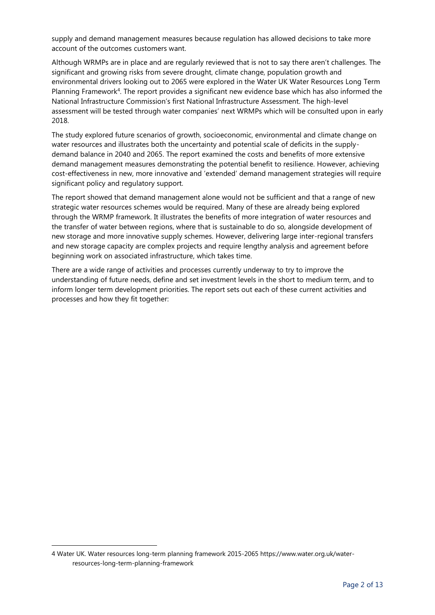supply and demand management measures because regulation has allowed decisions to take more account of the outcomes customers want.

Although WRMPs are in place and are regularly reviewed that is not to say there aren't challenges. The significant and growing risks from severe drought, climate change, population growth and environmental drivers looking out to 2065 were explored in the Water UK Water Resources Long Term Planning Framework<sup>4</sup>. The report provides a significant new evidence base which has also informed the National Infrastructure Commission's first National Infrastructure Assessment. The high-level assessment will be tested through water companies' next WRMPs which will be consulted upon in early 2018.

The study explored future scenarios of growth, socioeconomic, environmental and climate change on water resources and illustrates both the uncertainty and potential scale of deficits in the supplydemand balance in 2040 and 2065. The report examined the costs and benefits of more extensive demand management measures demonstrating the potential benefit to resilience. However, achieving cost-effectiveness in new, more innovative and 'extended' demand management strategies will require significant policy and regulatory support.

The report showed that demand management alone would not be sufficient and that a range of new strategic water resources schemes would be required. Many of these are already being explored through the WRMP framework. It illustrates the benefits of more integration of water resources and the transfer of water between regions, where that is sustainable to do so, alongside development of new storage and more innovative supply schemes. However, delivering large inter-regional transfers and new storage capacity are complex projects and require lengthy analysis and agreement before beginning work on associated infrastructure, which takes time.

There are a wide range of activities and processes currently underway to try to improve the understanding of future needs, define and set investment levels in the short to medium term, and to inform longer term development priorities. The report sets out each of these current activities and processes and how they fit together:

 $\overline{a}$ 

<sup>4</sup> Water UK. Water resources long-term planning framework 2015-2065 [https://www.water.org.uk/water](https://www.water.org.uk/water-resources-long-term-planning-framework)[resources-long-term-planning-framework](https://www.water.org.uk/water-resources-long-term-planning-framework)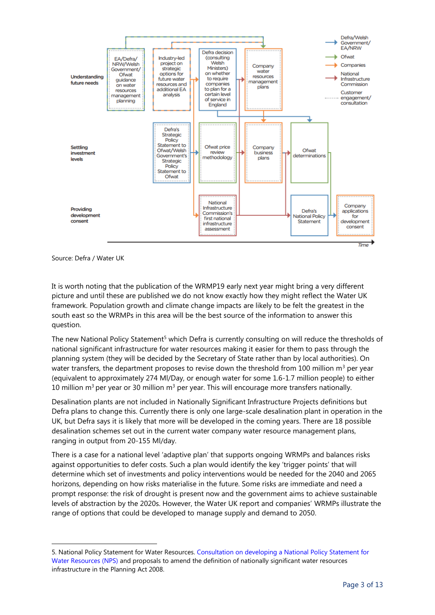

Source: Defra / Water UK

 $\overline{a}$ 

It is worth noting that the publication of the WRMP19 early next year might bring a very different picture and until these are published we do not know exactly how they might reflect the Water UK framework. Population growth and climate change impacts are likely to be felt the greatest in the south east so the WRMPs in this area will be the best source of the information to answer this question.

The new National Policy Statement<sup>5</sup> which Defra is currently consulting on will reduce the thresholds of national significant infrastructure for water resources making it easier for them to pass through the planning system (they will be decided by the Secretary of State rather than by local authorities). On water transfers, the department proposes to revise down the threshold from 100 million  $m<sup>3</sup>$  per year (equivalent to approximately 274 Ml/Day, or enough water for some 1.6-1.7 million people) to either 10 million m<sup>3</sup> per year or 30 million m<sup>3</sup> per year. This will encourage more transfers nationally.

Desalination plants are not included in Nationally Significant Infrastructure Projects definitions but Defra plans to change this. Currently there is only one large-scale desalination plant in operation in the UK, but Defra says it is likely that more will be developed in the coming years. There are 18 possible desalination schemes set out in the current water company water resource management plans, ranging in output from 20-155 Ml/day.

There is a case for a national level 'adaptive plan' that supports ongoing WRMPs and balances risks against opportunities to defer costs. Such a plan would identify the key 'trigger points' that will determine which set of investments and policy interventions would be needed for the 2040 and 2065 horizons, depending on how risks materialise in the future. Some risks are immediate and need a prompt response: the risk of drought is present now and the government aims to achieve sustainable levels of abstraction by the 2020s. However, the Water UK report and companies' WRMPs illustrate the range of options that could be developed to manage supply and demand to 2050.

<sup>5.</sup> National Policy Statement for Water Resources[. Consultation on developing a National Policy Statement for](https://consult.defra.gov.uk/water/nps-water-supply-planning-act-2008/supporting_documents/Consultation%20document%20for%20National%20Policy%20Statement%20for%20Water%20Resources.pdf)  [Water Resources \(NPS\)](https://consult.defra.gov.uk/water/nps-water-supply-planning-act-2008/supporting_documents/Consultation%20document%20for%20National%20Policy%20Statement%20for%20Water%20Resources.pdf) and proposals to amend the definition of nationally significant water resources infrastructure in the Planning Act 2008.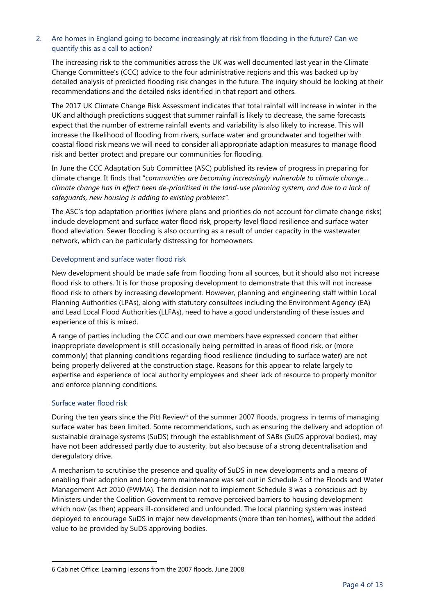## 2. Are homes in England going to become increasingly at risk from flooding in the future? Can we quantify this as a call to action?

The increasing risk to the communities across the UK was well documented last year in the Climate Change Committee's (CCC) advice to the four administrative regions and this was backed up by detailed analysis of predicted flooding risk changes in the future. The inquiry should be looking at their recommendations and the detailed risks identified in that report and others.

The 2017 UK Climate Change Risk Assessment indicates that total rainfall will increase in winter in the UK and although predictions suggest that summer rainfall is likely to decrease, the same forecasts expect that the number of extreme rainfall events and variability is also likely to increase. This will increase the likelihood of flooding from rivers, surface water and groundwater and together with coastal flood risk means we will need to consider all appropriate adaption measures to manage flood risk and better protect and prepare our communities for flooding.

In June the CCC Adaptation Sub Committee (ASC) published its review of progress in preparing for climate change. It finds that "*communities are becoming increasingly vulnerable to climate change… climate change has in effect been de-prioritised in the land-use planning system, and due to a lack of safeguards, new housing is adding to existing problems".*

The ASC's top adaptation priorities (where plans and priorities do not account for climate change risks) include development and surface water flood risk, property level flood resilience and surface water flood alleviation. Sewer flooding is also occurring as a result of under capacity in the wastewater network, which can be particularly distressing for homeowners.

#### Development and surface water flood risk

New development should be made safe from flooding from all sources, but it should also not increase flood risk to others. It is for those proposing development to demonstrate that this will not increase flood risk to others by increasing development. However, planning and engineering staff within Local Planning Authorities (LPAs), along with statutory consultees including the Environment Agency (EA) and Lead Local Flood Authorities (LLFAs), need to have a good understanding of these issues and experience of this is mixed.

A range of parties including the CCC and our own members have expressed concern that either inappropriate development is still occasionally being permitted in areas of flood risk, or (more commonly) that planning conditions regarding flood resilience (including to surface water) are not being properly delivered at the construction stage. Reasons for this appear to relate largely to expertise and experience of local authority employees and sheer lack of resource to properly monitor and enforce planning conditions.

#### Surface water flood risk

 $\overline{a}$ 

During the ten years since the Pitt Review<sup>6</sup> of the summer 2007 floods, progress in terms of managing surface water has been limited. Some recommendations, such as ensuring the delivery and adoption of sustainable drainage systems (SuDS) through the establishment of SABs (SuDS approval bodies), may have not been addressed partly due to austerity, but also because of a strong decentralisation and deregulatory drive.

A mechanism to scrutinise the presence and quality of SuDS in new developments and a means of enabling their adoption and long-term maintenance was set out in Schedule 3 of the Floods and Water Management Act 2010 (FWMA). The decision not to implement Schedule 3 was a conscious act by Ministers under the Coalition Government to remove perceived barriers to housing development which now (as then) appears ill-considered and unfounded. The local planning system was instead deployed to encourage SuDS in major new developments (more than ten homes), without the added value to be provided by SuDS approving bodies.

<sup>6</sup> Cabinet Office: Learning lessons from the 2007 floods. June 2008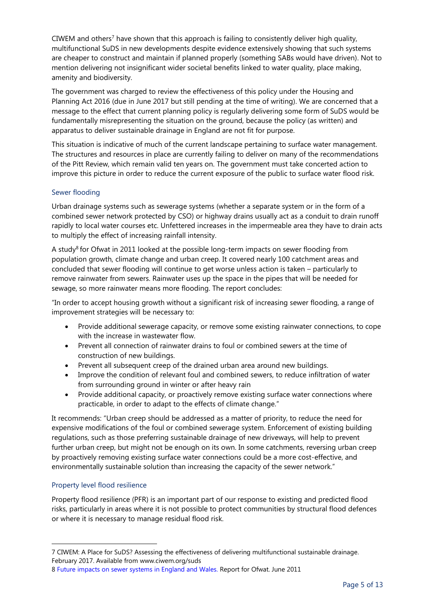CIWEM and others<sup>7</sup> have shown that this approach is failing to consistently deliver high quality, multifunctional SuDS in new developments despite evidence extensively showing that such systems are cheaper to construct and maintain if planned properly (something SABs would have driven). Not to mention delivering not insignificant wider societal benefits linked to water quality, place making, amenity and biodiversity.

The government was charged to review the effectiveness of this policy under the Housing and Planning Act 2016 (due in June 2017 but still pending at the time of writing). We are concerned that a message to the effect that current planning policy is regularly delivering some form of SuDS would be fundamentally misrepresenting the situation on the ground, because the policy (as written) and apparatus to deliver sustainable drainage in England are not fit for purpose.

This situation is indicative of much of the current landscape pertaining to surface water management. The structures and resources in place are currently failing to deliver on many of the recommendations of the Pitt Review, which remain valid ten years on. The government must take concerted action to improve this picture in order to reduce the current exposure of the public to surface water flood risk.

## Sewer flooding

Urban drainage systems such as sewerage systems (whether a separate system or in the form of a combined sewer network protected by CSO) or highway drains usually act as a conduit to drain runoff rapidly to local water courses etc. Unfettered increases in the impermeable area they have to drain acts to multiply the effect of increasing rainfall intensity.

A study<sup>8</sup> for Ofwat in 2011 looked at the possible long-term impacts on sewer flooding from population growth, climate change and urban creep. It covered nearly 100 catchment areas and concluded that sewer flooding will continue to get worse unless action is taken – particularly to remove rainwater from sewers. Rainwater uses up the space in the pipes that will be needed for sewage, so more rainwater means more flooding. The report concludes:

"In order to accept housing growth without a significant risk of increasing sewer flooding, a range of improvement strategies will be necessary to:

- Provide additional sewerage capacity, or remove some existing rainwater connections, to cope with the increase in wastewater flow.
- Prevent all connection of rainwater drains to foul or combined sewers at the time of construction of new buildings.
- Prevent all subsequent creep of the drained urban area around new buildings.
- Improve the condition of relevant foul and combined sewers, to reduce infiltration of water from surrounding ground in winter or after heavy rain
- Provide additional capacity, or proactively remove existing surface water connections where practicable, in order to adapt to the effects of climate change."

It recommends: "Urban creep should be addressed as a matter of priority, to reduce the need for expensive modifications of the foul or combined sewerage system. Enforcement of existing building regulations, such as those preferring sustainable drainage of new driveways, will help to prevent further urban creep, but might not be enough on its own. In some catchments, reversing urban creep by proactively removing existing surface water connections could be a more cost-effective, and environmentally sustainable solution than increasing the capacity of the sewer network."

# Property level flood resilience

 $\overline{a}$ 

Property flood resilience (PFR) is an important part of our response to existing and predicted flood risks, particularly in areas where it is not possible to protect communities by structural flood defences or where it is necessary to manage residual flood risk.

<sup>7</sup> CIWEM: A Place for SuDS? Assessing the effectiveness of delivering multifunctional sustainable drainage. February 2017. Available from [www.ciwem.org/suds](http://www.ciwem.org/suds)

<sup>8</sup> [Future impacts on sewer systems in England and Wales.](https://www.ofwat.gov.uk/wp-content/uploads/2015/11/rpt_com201106mottmacsewer.pdf) Report for Ofwat. June 2011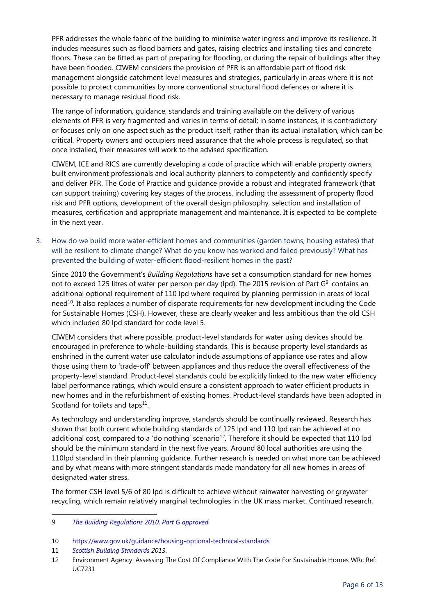PFR addresses the whole fabric of the building to minimise water ingress and improve its resilience. It includes measures such as flood barriers and gates, raising electrics and installing tiles and concrete floors. These can be fitted as part of preparing for flooding, or during the repair of buildings after they have been flooded. CIWEM considers the provision of PFR is an affordable part of flood risk management alongside catchment level measures and strategies, particularly in areas where it is not possible to protect communities by more conventional structural flood defences or where it is necessary to manage residual flood risk.

The range of information, guidance, standards and training available on the delivery of various elements of PFR is very fragmented and varies in terms of detail; in some instances, it is contradictory or focuses only on one aspect such as the product itself, rather than its actual installation, which can be critical. Property owners and occupiers need assurance that the whole process is regulated, so that once installed, their measures will work to the advised specification.

CIWEM, ICE and RICS are currently developing a code of practice which will enable property owners, built environment professionals and local authority planners to competently and confidently specify and deliver PFR. The Code of Practice and guidance provide a robust and integrated framework (that can support training) covering key stages of the process, including the assessment of property flood risk and PFR options, development of the overall design philosophy, selection and installation of measures, certification and appropriate management and maintenance. It is expected to be complete in the next year.

3. How do we build more water-efficient homes and communities (garden towns, housing estates) that will be resilient to climate change? What do you know has worked and failed previously? What has prevented the building of water-efficient flood-resilient homes in the past?

Since 2010 the Government's *Building Regulations* have set a consumption standard for new homes not to exceed 125 litres of water per person per day (lpd). The 2015 revision of Part  $G^9$  contains an additional optional requirement of 110 lpd where required by planning permission in areas of local need<sup>10</sup>. It also replaces a number of disparate requirements for new development including the Code for Sustainable Homes (CSH). However, these are clearly weaker and less ambitious than the old CSH which included 80 lpd standard for code level 5.

CIWEM considers that where possible, product-level standards for water using devices should be encouraged in preference to whole-building standards. This is because property level standards as enshrined in the current water use calculator include assumptions of appliance use rates and allow those using them to 'trade-off' between appliances and thus reduce the overall effectiveness of the property-level standard. Product-level standards could be explicitly linked to the new water efficiency label performance ratings, which would ensure a consistent approach to water efficient products in new homes and in the refurbishment of existing homes. Product-level standards have been adopted in Scotland for toilets and taps<sup>11</sup>.

As technology and understanding improve, standards should be continually reviewed. Research has shown that both current whole building standards of 125 lpd and 110 lpd can be achieved at no additional cost, compared to a 'do nothing' scenario<sup>12</sup>. Therefore it should be expected that 110 lpd should be the minimum standard in the next five years. Around 80 local authorities are using the 110lpd standard in their planning guidance. Further research is needed on what more can be achieved and by what means with more stringent standards made mandatory for all new homes in areas of designated water stress.

The former CSH level 5/6 of 80 lpd is difficult to achieve without rainwater harvesting or greywater recycling, which remain relatively marginal technologies in the UK mass market. Continued research,

10 <https://www.gov.uk/guidance/housing-optional-technical-standards>

11 *[Scottish Building Standards](http://www.scotland.gov.uk/Topics/Built-Environment/Building/Building-standards/publications/pubtech/th2013domcomp) 2013*.

 $\overline{a}$ 

<sup>9</sup> *[The Building Regulations 2010, Part G approved.](http://www.planningportal.gov.uk/buildingregulations/approveddocuments/partg/approved)* 

<sup>12</sup> Environment Agency: Assessing The Cost Of Compliance With The Code For Sustainable Homes WRc Ref: UC7231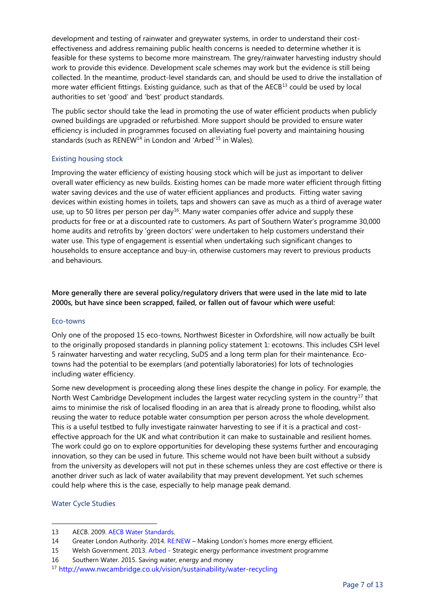development and testing of rainwater and greywater systems, in order to understand their costeffectiveness and address remaining public health concerns is needed to determine whether it is feasible for these systems to become more mainstream. The grey/rainwater harvesting industry should work to provide this evidence. Development scale schemes may work but the evidence is still being collected. In the meantime, product-level standards can, and should be used to drive the installation of more water efficient fittings. Existing guidance, such as that of the AECB<sup>13</sup> could be used by local authorities to set 'good' and 'best' product standards.

The public sector should take the lead in promoting the use of water efficient products when publicly owned buildings are upgraded or refurbished. More support should be provided to ensure water efficiency is included in programmes focused on alleviating fuel poverty and maintaining housing standards (such as RENEW<sup>14</sup> in London and 'Arbed<sup>'15</sup> in Wales).

## Existing housing stock

Improving the water efficiency of existing housing stock which will be just as important to deliver overall water efficiency as new builds. Existing homes can be made more water efficient through fitting water saving devices and the use of water efficient appliances and products. Fitting water saving devices within existing homes in toilets, taps and showers can save as much as a third of average water use, up to 50 litres per person per day<sup>16</sup>. Many water companies offer advice and supply these products for free or at a discounted rate to customers. As part of Southern Water's programme 30,000 home audits and retrofits by 'green doctors' were undertaken to help customers understand their water use. This type of engagement is essential when undertaking such significant changes to households to ensure acceptance and buy-in, otherwise customers may revert to previous products and behaviours.

**More generally there are several policy/regulatory drivers that were used in the late mid to late 2000s, but have since been scrapped, failed, or fallen out of favour which were useful:**

#### Eco-towns

Only one of the proposed 15 eco-towns, Northwest Bicester in Oxfordshire, will now actually be built to the originally proposed standards in planning policy statement 1: ecotowns. This includes CSH level 5 rainwater harvesting and water recycling, SuDS and a long term plan for their maintenance. Ecotowns had the potential to be exemplars (and potentially laboratories) for lots of technologies including water efficiency.

Some new development is proceeding along these lines despite the change in policy. For example, the North West Cambridge Development includes the largest water recycling system in the country<sup>17</sup> that aims to minimise the risk of localised flooding in an area that is already prone to flooding, whilst also reusing the water to reduce potable water consumption per person across the whole development. This is a useful testbed to fully investigate rainwater harvesting to see if it is a practical and costeffective approach for the UK and what contribution it can make to sustainable and resilient homes. The work could go on to explore opportunities for developing these systems further and encouraging innovation, so they can be used in future. This scheme would not have been built without a subsidy from the university as developers will not put in these schemes unless they are cost effective or there is another driver such as lack of water availability that may prevent development. Yet such schemes could help where this is the case, especially to help manage peak demand.

#### Water Cycle Studies

 $\overline{a}$ 

<sup>13</sup> AECB. 2009. [AECB Water Standards.](http://www.aecb.net/publications/publication-categories/aecb-water-standards/) 

<sup>14</sup> Greater London Authority. 2014. [RE:NEW](https://www.london.gov.uk/priorities/environment/energy/re-new-home-energy-efficiency) – Making London's homes more energy efficient.

<sup>15</sup> Welsh Government. 2013. [Arbed](http://gov.wales/topics/environmentcountryside/energy/efficiency/arbed/?lang=en) - Strategic energy performance investment programme

<sup>16</sup> Southern Water. 2015. Saving water, energy and money

<sup>17</sup> <http://www.nwcambridge.co.uk/vision/sustainability/water-recycling>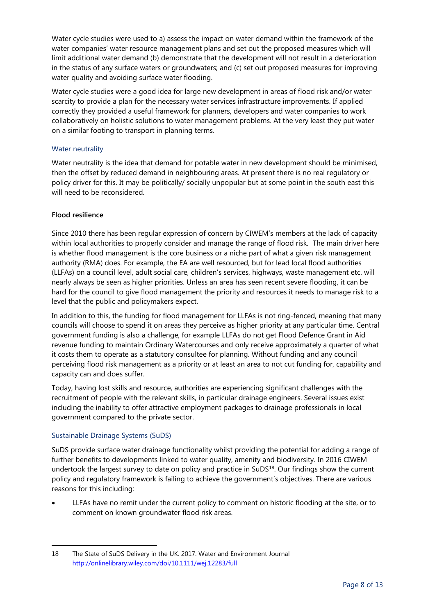Water cycle studies were used to a) assess the impact on water demand within the framework of the water companies' water resource management plans and set out the proposed measures which will limit additional water demand (b) demonstrate that the development will not result in a deterioration in the status of any surface waters or groundwaters; and (c) set out proposed measures for improving water quality and avoiding surface water flooding.

Water cycle studies were a good idea for large new development in areas of flood risk and/or water scarcity to provide a plan for the necessary water services infrastructure improvements. If applied correctly they provided a useful framework for planners, developers and water companies to work collaboratively on holistic solutions to water management problems. At the very least they put water on a similar footing to transport in planning terms.

## Water neutrality

Water neutrality is the idea that demand for potable water in new development should be minimised, then the offset by reduced demand in neighbouring areas. At present there is no real regulatory or policy driver for this. It may be politically/ socially unpopular but at some point in the south east this will need to be reconsidered.

## **Flood resilience**

Since 2010 there has been regular expression of concern by CIWEM's members at the lack of capacity within local authorities to properly consider and manage the range of flood risk. The main driver here is whether flood management is the core business or a niche part of what a given risk management authority (RMA) does. For example, the EA are well resourced, but for lead local flood authorities (LLFAs) on a council level, adult social care, children's services, highways, waste management etc. will nearly always be seen as higher priorities. Unless an area has seen recent severe flooding, it can be hard for the council to give flood management the priority and resources it needs to manage risk to a level that the public and policymakers expect.

In addition to this, the funding for flood management for LLFAs is not ring-fenced, meaning that many councils will choose to spend it on areas they perceive as higher priority at any particular time. Central government funding is also a challenge, for example LLFAs do not get Flood Defence Grant in Aid revenue funding to maintain Ordinary Watercourses and only receive approximately a quarter of what it costs them to operate as a statutory consultee for planning. Without funding and any council perceiving flood risk management as a priority or at least an area to not cut funding for, capability and capacity can and does suffer.

Today, having lost skills and resource, authorities are experiencing significant challenges with the recruitment of people with the relevant skills, in particular drainage engineers. Several issues exist including the inability to offer attractive employment packages to drainage professionals in local government compared to the private sector.

# Sustainable Drainage Systems (SuDS)

 $\overline{a}$ 

SuDS provide surface water drainage functionality whilst providing the potential for adding a range of further benefits to developments linked to water quality, amenity and biodiversity. In 2016 CIWEM undertook the largest survey to date on policy and practice in SuDS<sup>18</sup>. Our findings show the current policy and regulatory framework is failing to achieve the government's objectives. There are various reasons for this including:

• LLFAs have no remit under the current policy to comment on historic flooding at the site, or to comment on known groundwater flood risk areas.

<sup>18</sup> The State of SuDS Delivery in the UK. 2017. Water and Environment Journal <http://onlinelibrary.wiley.com/doi/10.1111/wej.12283/full>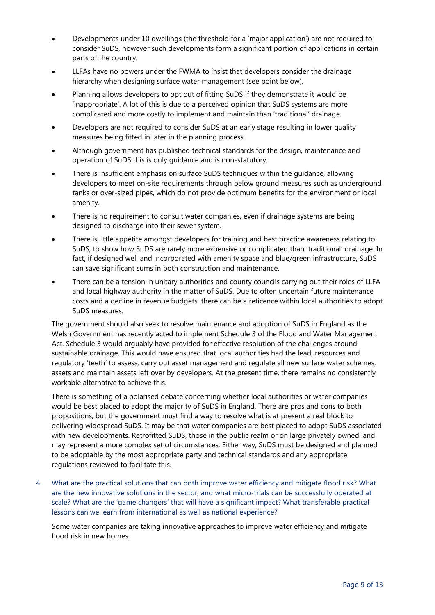- Developments under 10 dwellings (the threshold for a 'major application') are not required to consider SuDS, however such developments form a significant portion of applications in certain parts of the country.
- LLFAs have no powers under the FWMA to insist that developers consider the drainage hierarchy when designing surface water management (see point below).
- Planning allows developers to opt out of fitting SuDS if they demonstrate it would be 'inappropriate'. A lot of this is due to a perceived opinion that SuDS systems are more complicated and more costly to implement and maintain than 'traditional' drainage.
- Developers are not required to consider SuDS at an early stage resulting in lower quality measures being fitted in later in the planning process.
- Although government has published technical standards for the design, maintenance and operation of SuDS this is only guidance and is non-statutory.
- There is insufficient emphasis on surface SuDS techniques within the guidance, allowing developers to meet on-site requirements through below ground measures such as underground tanks or over-sized pipes, which do not provide optimum benefits for the environment or local amenity.
- There is no requirement to consult water companies, even if drainage systems are being designed to discharge into their sewer system.
- There is little appetite amongst developers for training and best practice awareness relating to SuDS, to show how SuDS are rarely more expensive or complicated than 'traditional' drainage. In fact, if designed well and incorporated with amenity space and blue/green infrastructure, SuDS can save significant sums in both construction and maintenance.
- There can be a tension in unitary authorities and county councils carrying out their roles of LLFA and local highway authority in the matter of SuDS. Due to often uncertain future maintenance costs and a decline in revenue budgets, there can be a reticence within local authorities to adopt SuDS measures.

The government should also seek to resolve maintenance and adoption of SuDS in England as the Welsh Government has recently acted to implement Schedule 3 of the Flood and Water Management Act. Schedule 3 would arguably have provided for effective resolution of the challenges around sustainable drainage. This would have ensured that local authorities had the lead, resources and regulatory 'teeth' to assess, carry out asset management and regulate all new surface water schemes, assets and maintain assets left over by developers. At the present time, there remains no consistently workable alternative to achieve this.

There is something of a polarised debate concerning whether local authorities or water companies would be best placed to adopt the majority of SuDS in England. There are pros and cons to both propositions, but the government must find a way to resolve what is at present a real block to delivering widespread SuDS. It may be that water companies are best placed to adopt SuDS associated with new developments. Retrofitted SuDS, those in the public realm or on large privately owned land may represent a more complex set of circumstances. Either way, SuDS must be designed and planned to be adoptable by the most appropriate party and technical standards and any appropriate regulations reviewed to facilitate this.

4. What are the practical solutions that can both improve water efficiency and mitigate flood risk? What are the new innovative solutions in the sector, and what micro-trials can be successfully operated at scale? What are the 'game changers' that will have a significant impact? What transferable practical lessons can we learn from international as well as national experience?

Some water companies are taking innovative approaches to improve water efficiency and mitigate flood risk in new homes: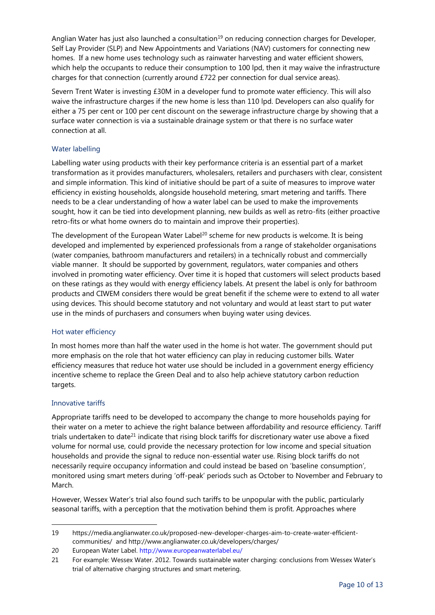Anglian Water has just also launched a consultation<sup>19</sup> on reducing connection charges for Developer, Self Lay Provider (SLP) and New Appointments and Variations (NAV) customers for connecting new homes. If a new home uses technology such as rainwater harvesting and water efficient showers, which help the occupants to reduce their consumption to 100 lpd, then it may waive the infrastructure charges for that connection (currently around £722 per connection for dual service areas).

Severn Trent Water is investing £30M in a developer fund to promote water efficiency. This will also waive the infrastructure charges if the new home is less than 110 lpd. Developers can also qualify for either a 75 per cent or 100 per cent discount on the sewerage infrastructure charge by showing that a surface water connection is via a sustainable drainage system or that there is no surface water connection at all.

## Water labelling

Labelling water using products with their key performance criteria is an essential part of a market transformation as it provides manufacturers, wholesalers, retailers and purchasers with clear, consistent and simple information. This kind of initiative should be part of a suite of measures to improve water efficiency in existing households, alongside household metering, smart metering and tariffs. There needs to be a clear understanding of how a water label can be used to make the improvements sought, how it can be tied into development planning, new builds as well as retro-fits (either proactive retro-fits or what home owners do to maintain and improve their properties).

The development of the European Water Label<sup>20</sup> scheme for new products is welcome. It is being developed and implemented by experienced professionals from a range of stakeholder organisations (water companies, bathroom manufacturers and retailers) in a technically robust and commercially viable manner. It should be supported by government, regulators, water companies and others involved in promoting water efficiency. Over time it is hoped that customers will select products based on these ratings as they would with energy efficiency labels. At present the label is only for bathroom products and CIWEM considers there would be great benefit if the scheme were to extend to all water using devices. This should become statutory and not voluntary and would at least start to put water use in the minds of purchasers and consumers when buying water using devices.

#### Hot water efficiency

In most homes more than half the water used in the home is hot water. The government should put more emphasis on the role that hot water efficiency can play in reducing customer bills. Water efficiency measures that reduce hot water use should be included in a government energy efficiency incentive scheme to replace the Green Deal and to also help achieve statutory carbon reduction targets.

#### Innovative tariffs

 $\overline{a}$ 

Appropriate tariffs need to be developed to accompany the change to more households paying for their water on a meter to achieve the right balance between affordability and resource efficiency. Tariff trials undertaken to date<sup>21</sup> indicate that rising block tariffs for discretionary water use above a fixed volume for normal use, could provide the necessary protection for low income and special situation households and provide the signal to reduce non-essential water use. Rising block tariffs do not necessarily require occupancy information and could instead be based on 'baseline consumption', monitored using smart meters during 'off-peak' periods such as October to November and February to March.

However, Wessex Water's trial also found such tariffs to be unpopular with the public, particularly seasonal tariffs, with a perception that the motivation behind them is profit. Approaches where

<sup>19</sup> [https://media.anglianwater.co.uk/proposed-new-developer-charges-aim-to-create-water-efficient](https://media.anglianwater.co.uk/proposed-new-developer-charges-aim-to-create-water-efficient-communities/)[communities/](https://media.anglianwater.co.uk/proposed-new-developer-charges-aim-to-create-water-efficient-communities/) and<http://www.anglianwater.co.uk/developers/charges/>

<sup>20</sup> European Water Label.<http://www.europeanwaterlabel.eu/>

<sup>21</sup> For example: Wessex Water. 2012. Towards sustainable water charging: conclusions from Wessex Water's trial of alternative charging structures and smart metering.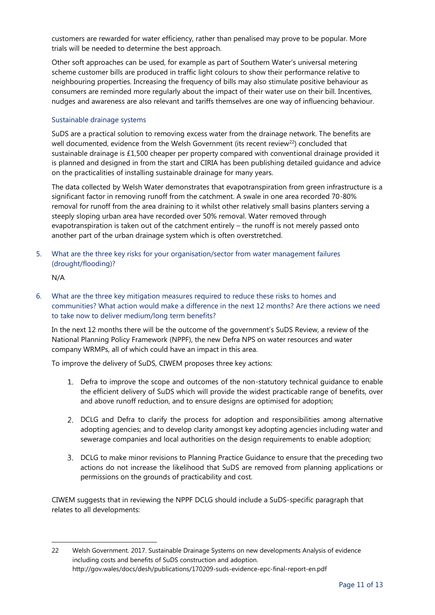customers are rewarded for water efficiency, rather than penalised may prove to be popular. More trials will be needed to determine the best approach.

Other soft approaches can be used, for example as part of Southern Water's universal metering scheme customer bills are produced in traffic light colours to show their performance relative to neighbouring properties. Increasing the frequency of bills may also stimulate positive behaviour as consumers are reminded more regularly about the impact of their water use on their bill. Incentives, nudges and awareness are also relevant and tariffs themselves are one way of influencing behaviour.

#### Sustainable drainage systems

SuDS are a practical solution to removing excess water from the drainage network. The benefits are well documented, evidence from the Welsh Government (its recent review<sup>22</sup>) concluded that sustainable drainage is £1,500 cheaper per property compared with conventional drainage provided it is planned and designed in from the start and CIRIA has been publishing detailed guidance and advice on the practicalities of installing sustainable drainage for many years.

The data collected by Welsh Water demonstrates that evapotranspiration from green infrastructure is a significant factor in removing runoff from the catchment. A swale in one area recorded 70-80% removal for runoff from the area draining to it whilst other relatively small basins planters serving a steeply sloping urban area have recorded over 50% removal. Water removed through evapotranspiration is taken out of the catchment entirely – the runoff is not merely passed onto another part of the urban drainage system which is often overstretched.

5. What are the three key risks for your organisation/sector from water management failures (drought/flooding)?

N/A

 $\overline{a}$ 

6. What are the three key mitigation measures required to reduce these risks to homes and communities? What action would make a difference in the next 12 months? Are there actions we need to take now to deliver medium/long term benefits?

In the next 12 months there will be the outcome of the government's SuDS Review, a review of the National Planning Policy Framework (NPPF), the new Defra NPS on water resources and water company WRMPs, all of which could have an impact in this area.

To improve the delivery of SuDS, CIWEM proposes three key actions:

- Defra to improve the scope and outcomes of the non-statutory technical guidance to enable the efficient delivery of SuDS which will provide the widest practicable range of benefits, over and above runoff reduction, and to ensure designs are optimised for adoption;
- DCLG and Defra to clarify the process for adoption and responsibilities among alternative adopting agencies; and to develop clarity amongst key adopting agencies including water and sewerage companies and local authorities on the design requirements to enable adoption;
- DCLG to make minor revisions to Planning Practice Guidance to ensure that the preceding two actions do not increase the likelihood that SuDS are removed from planning applications or permissions on the grounds of practicability and cost.

CIWEM suggests that in reviewing the NPPF DCLG should include a SuDS-specific paragraph that relates to all developments:

<sup>22</sup> Welsh Government. 2017. Sustainable Drainage Systems on new developments Analysis of evidence including costs and benefits of SuDS construction and adoption. <http://gov.wales/docs/desh/publications/170209-suds-evidence-epc-final-report-en.pdf>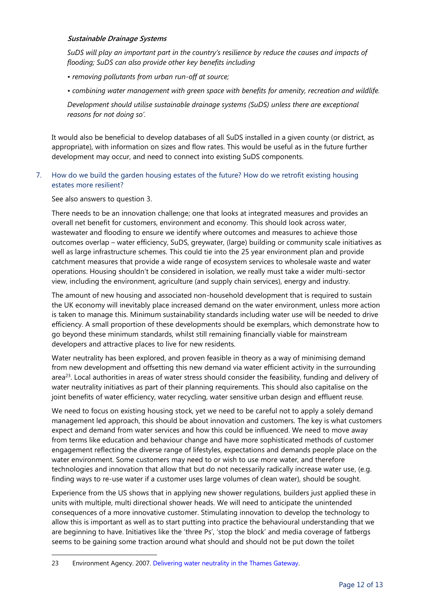#### **Sustainable Drainage Systems**

*SuDS will play an important part in the country's resilience by reduce the causes and impacts of flooding; SuDS can also provide other key benefits including*

- *• removing pollutants from urban run-off at source;*
- *• combining water management with green space with benefits for amenity, recreation and wildlife.*

*Development should utilise sustainable drainage systems (SuDS) unless there are exceptional reasons for not doing so'.* 

It would also be beneficial to develop databases of all SuDS installed in a given county (or district, as appropriate), with information on sizes and flow rates. This would be useful as in the future further development may occur, and need to connect into existing SuDS components.

7. How do we build the garden housing estates of the future? How do we retrofit existing housing estates more resilient?

See also answers to question 3.

 $\overline{a}$ 

There needs to be an innovation challenge; one that looks at integrated measures and provides an overall net benefit for customers, environment and economy. This should look across water, wastewater and flooding to ensure we identify where outcomes and measures to achieve those outcomes overlap – water efficiency, SuDS, greywater, (large) building or community scale initiatives as well as large infrastructure schemes. This could tie into the 25 year environment plan and provide catchment measures that provide a wide range of ecosystem services to wholesale waste and water operations. Housing shouldn't be considered in isolation, we really must take a wider multi-sector view, including the environment, agriculture (and supply chain services), energy and industry.

The amount of new housing and associated non-household development that is required to sustain the UK economy will inevitably place increased demand on the water environment, unless more action is taken to manage this. Minimum sustainability standards including water use will be needed to drive efficiency. A small proportion of these developments should be exemplars, which demonstrate how to go beyond these minimum standards, whilst still remaining financially viable for mainstream developers and attractive places to live for new residents.

Water neutrality has been explored, and proven feasible in theory as a way of minimising demand from new development and offsetting this new demand via water efficient activity in the surrounding area<sup>23</sup>. Local authorities in areas of water stress should consider the feasibility, funding and delivery of water neutrality initiatives as part of their planning requirements. This should also capitalise on the joint benefits of water efficiency, water recycling, water sensitive urban design and effluent reuse.

We need to focus on existing housing stock, yet we need to be careful not to apply a solely demand management led approach, this should be about innovation and customers. The key is what customers expect and demand from water services and how this could be influenced. We need to move away from terms like education and behaviour change and have more sophisticated methods of customer engagement reflecting the diverse range of lifestyles, expectations and demands people place on the water environment. Some customers may need to or wish to use more water, and therefore technologies and innovation that allow that but do not necessarily radically increase water use, (e.g. finding ways to re-use water if a customer uses large volumes of clean water), should be sought.

Experience from the US shows that in applying new shower regulations, builders just applied these in units with multiple, multi directional shower heads. We will need to anticipate the unintended consequences of a more innovative customer. Stimulating innovation to develop the technology to allow this is important as well as to start putting into practice the behavioural understanding that we are beginning to have. Initiatives like the 'three Ps', 'stop the block' and media coverage of fatbergs seems to be gaining some traction around what should and should not be put down the toilet

<sup>23</sup> Environment Agency. 2007. [Delivering water neutrality in the Thames Gateway.](https://www.gov.uk/government/uploads/system/uploads/attachment_data/file/291668/scho1107bnmc-e-e.pdf)